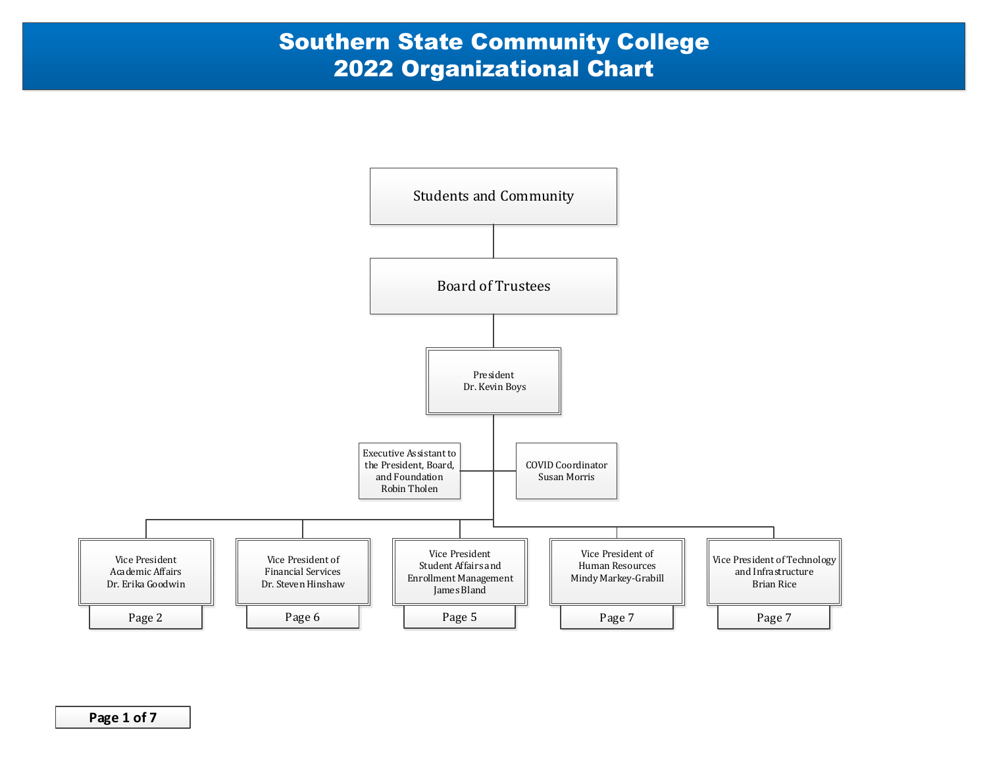

**Page 1 of 7**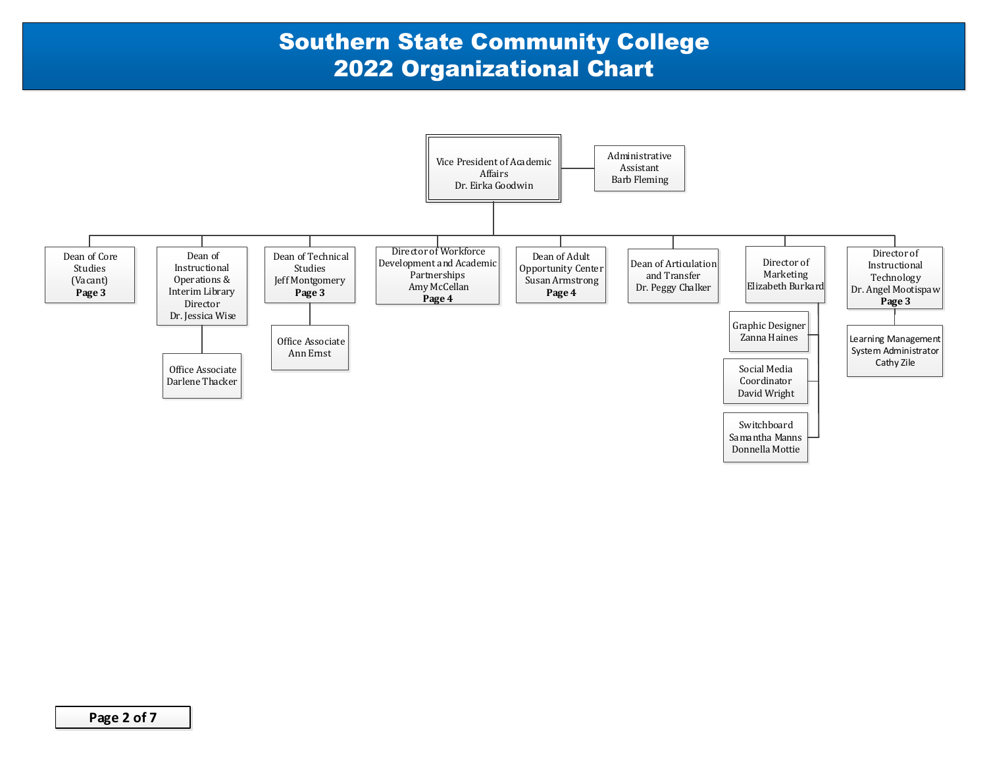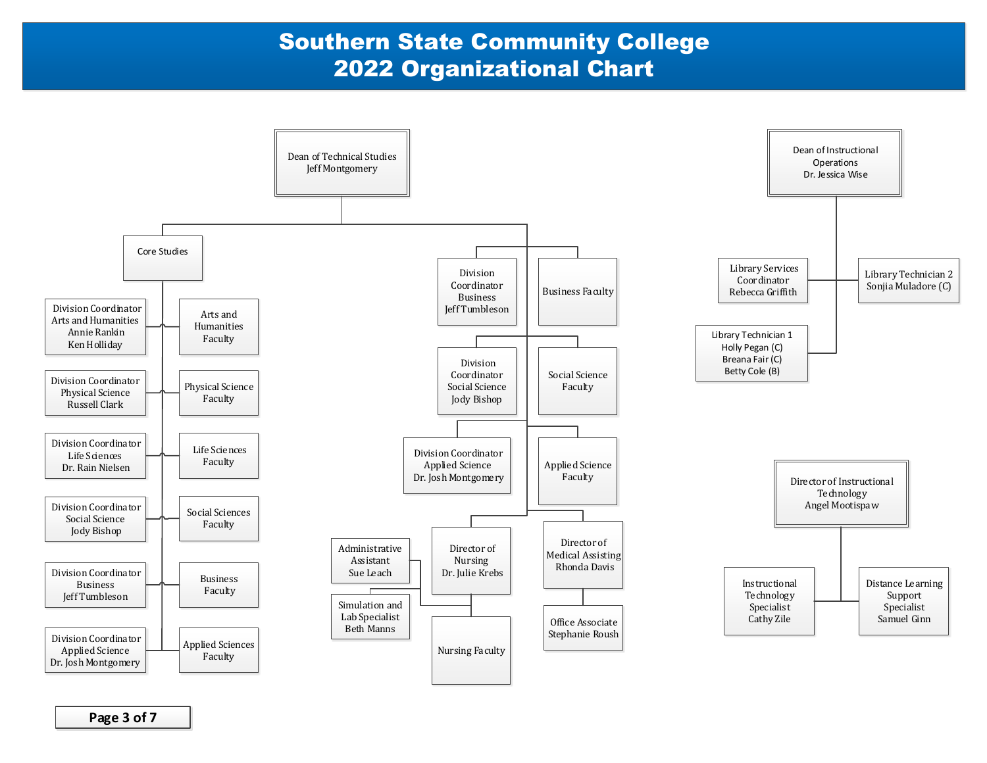

**Page 3 of 7**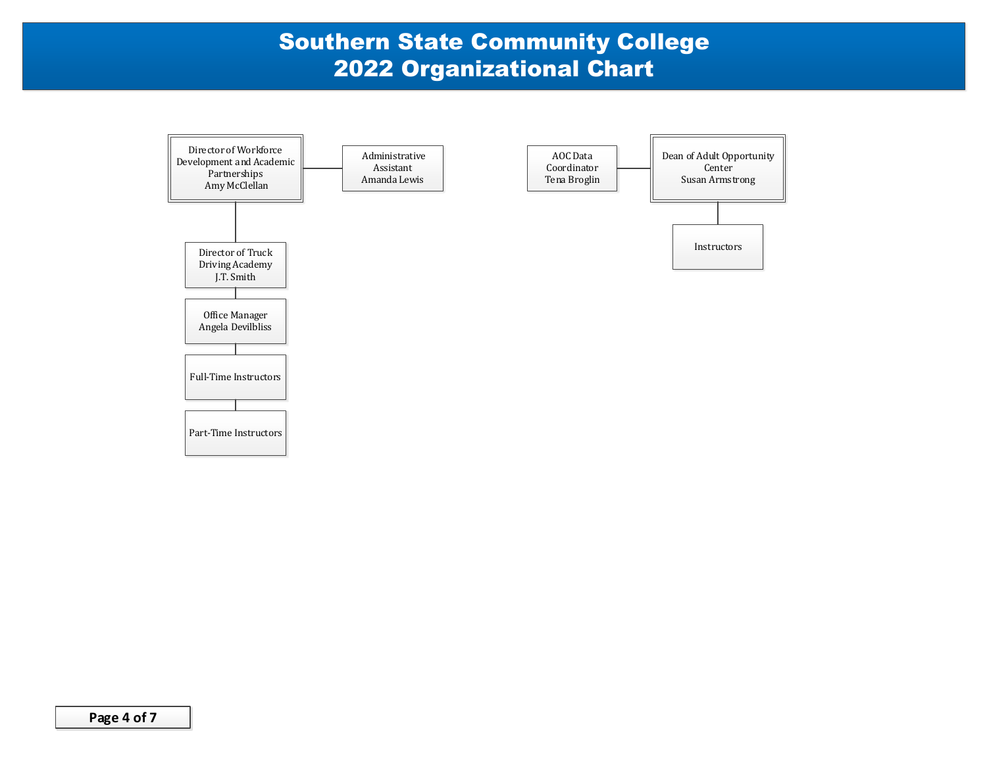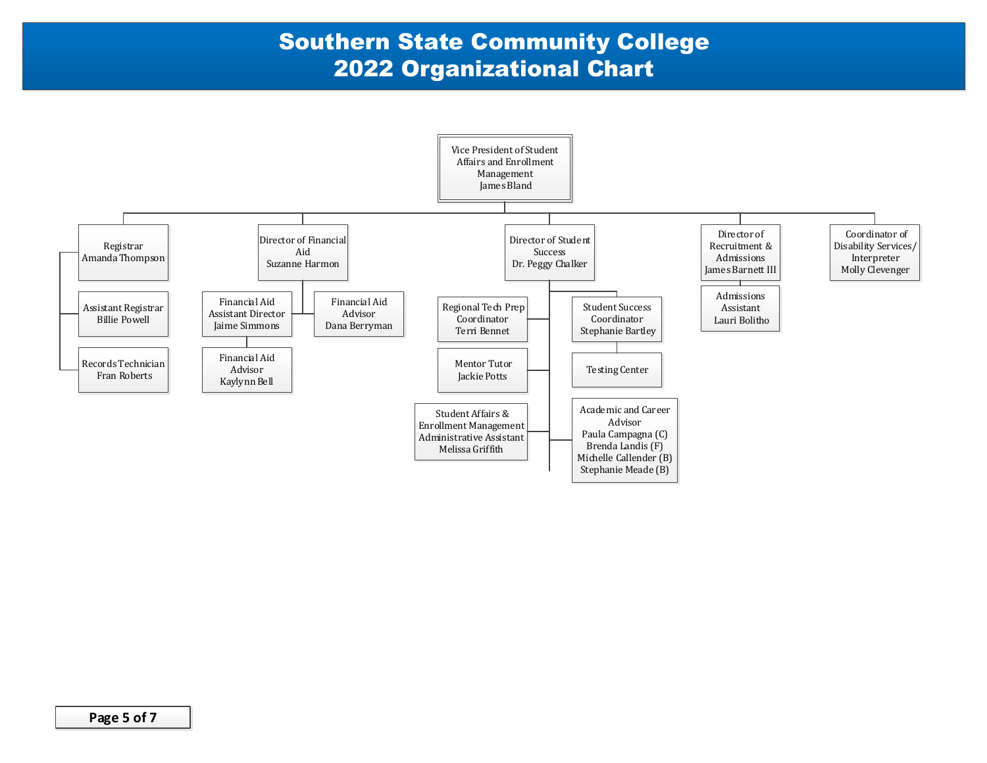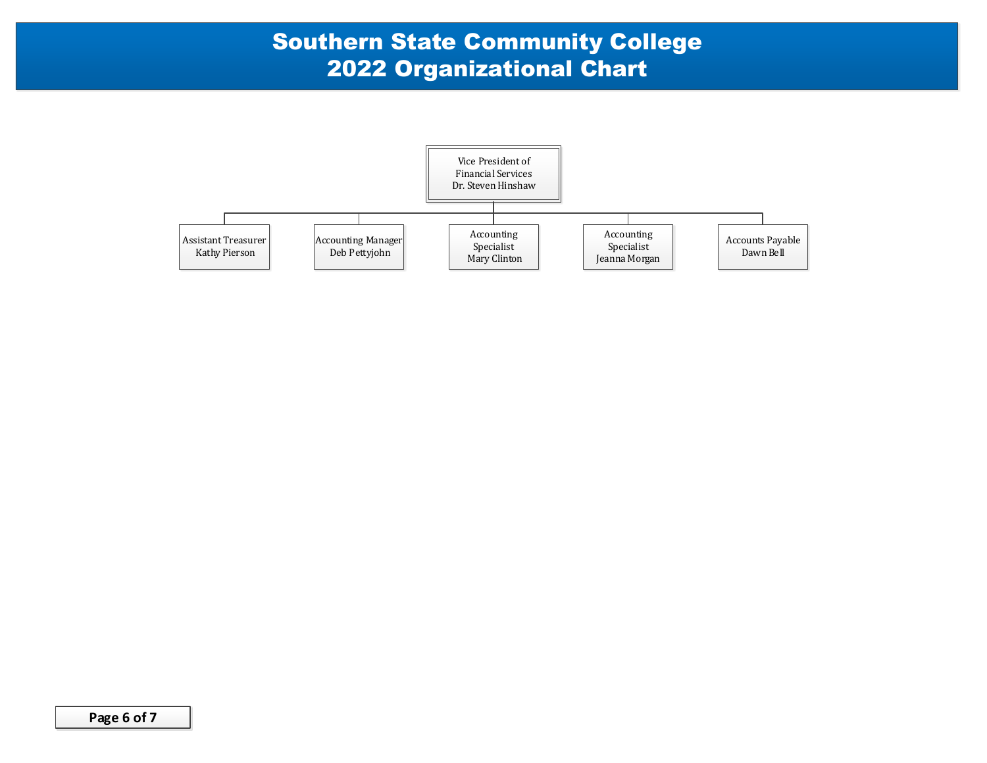

**Page 6 of 7**